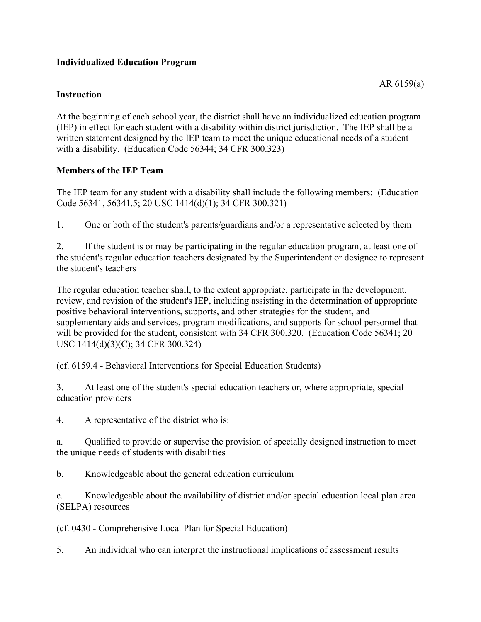# **Individualized Education Program**

## **Instruction**

At the beginning of each school year, the district shall have an individualized education program (IEP) in effect for each student with a disability within district jurisdiction. The IEP shall be a written statement designed by the IEP team to meet the unique educational needs of a student with a disability. (Education Code 56344; 34 CFR 300.323)

# **Members of the IEP Team**

The IEP team for any student with a disability shall include the following members: (Education Code 56341, 56341.5; 20 USC 1414(d)(1); 34 CFR 300.321)

1. One or both of the student's parents/guardians and/or a representative selected by them

2. If the student is or may be participating in the regular education program, at least one of the student's regular education teachers designated by the Superintendent or designee to represent the student's teachers

The regular education teacher shall, to the extent appropriate, participate in the development, review, and revision of the student's IEP, including assisting in the determination of appropriate positive behavioral interventions, supports, and other strategies for the student, and supplementary aids and services, program modifications, and supports for school personnel that will be provided for the student, consistent with 34 CFR 300.320. (Education Code 56341; 20 USC 1414(d)(3)(C); 34 CFR 300.324)

(cf. 6159.4 - Behavioral Interventions for Special Education Students)

3. At least one of the student's special education teachers or, where appropriate, special education providers

4. A representative of the district who is:

a. Qualified to provide or supervise the provision of specially designed instruction to meet the unique needs of students with disabilities

b. Knowledgeable about the general education curriculum

c. Knowledgeable about the availability of district and/or special education local plan area (SELPA) resources

(cf. 0430 - Comprehensive Local Plan for Special Education)

5. An individual who can interpret the instructional implications of assessment results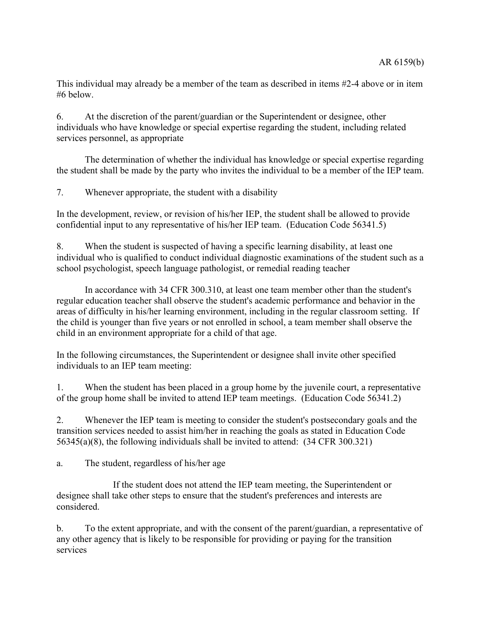This individual may already be a member of the team as described in items #2-4 above or in item #6 below.

6. At the discretion of the parent/guardian or the Superintendent or designee, other individuals who have knowledge or special expertise regarding the student, including related services personnel, as appropriate

The determination of whether the individual has knowledge or special expertise regarding the student shall be made by the party who invites the individual to be a member of the IEP team.

7. Whenever appropriate, the student with a disability

In the development, review, or revision of his/her IEP, the student shall be allowed to provide confidential input to any representative of his/her IEP team. (Education Code 56341.5)

8. When the student is suspected of having a specific learning disability, at least one individual who is qualified to conduct individual diagnostic examinations of the student such as a school psychologist, speech language pathologist, or remedial reading teacher

In accordance with 34 CFR 300.310, at least one team member other than the student's regular education teacher shall observe the student's academic performance and behavior in the areas of difficulty in his/her learning environment, including in the regular classroom setting. If the child is younger than five years or not enrolled in school, a team member shall observe the child in an environment appropriate for a child of that age.

In the following circumstances, the Superintendent or designee shall invite other specified individuals to an IEP team meeting:

1. When the student has been placed in a group home by the juvenile court, a representative of the group home shall be invited to attend IEP team meetings. (Education Code 56341.2)

2. Whenever the IEP team is meeting to consider the student's postsecondary goals and the transition services needed to assist him/her in reaching the goals as stated in Education Code 56345(a)(8), the following individuals shall be invited to attend: (34 CFR 300.321)

a. The student, regardless of his/her age

If the student does not attend the IEP team meeting, the Superintendent or designee shall take other steps to ensure that the student's preferences and interests are considered.

b. To the extent appropriate, and with the consent of the parent/guardian, a representative of any other agency that is likely to be responsible for providing or paying for the transition services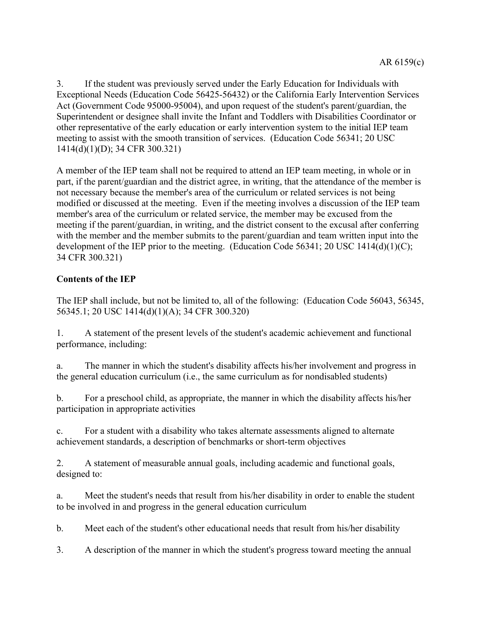3. If the student was previously served under the Early Education for Individuals with Exceptional Needs (Education Code 56425-56432) or the California Early Intervention Services Act (Government Code 95000-95004), and upon request of the student's parent/guardian, the Superintendent or designee shall invite the Infant and Toddlers with Disabilities Coordinator or other representative of the early education or early intervention system to the initial IEP team meeting to assist with the smooth transition of services. (Education Code 56341; 20 USC 1414(d)(1)(D); 34 CFR 300.321)

A member of the IEP team shall not be required to attend an IEP team meeting, in whole or in part, if the parent/guardian and the district agree, in writing, that the attendance of the member is not necessary because the member's area of the curriculum or related services is not being modified or discussed at the meeting. Even if the meeting involves a discussion of the IEP team member's area of the curriculum or related service, the member may be excused from the meeting if the parent/guardian, in writing, and the district consent to the excusal after conferring with the member and the member submits to the parent/guardian and team written input into the development of the IEP prior to the meeting. (Education Code 56341; 20 USC 1414(d)(1)(C); 34 CFR 300.321)

# **Contents of the IEP**

The IEP shall include, but not be limited to, all of the following: (Education Code 56043, 56345, 56345.1; 20 USC 1414(d)(1)(A); 34 CFR 300.320)

1. A statement of the present levels of the student's academic achievement and functional performance, including:

a. The manner in which the student's disability affects his/her involvement and progress in the general education curriculum (i.e., the same curriculum as for nondisabled students)

b. For a preschool child, as appropriate, the manner in which the disability affects his/her participation in appropriate activities

c. For a student with a disability who takes alternate assessments aligned to alternate achievement standards, a description of benchmarks or short-term objectives

2. A statement of measurable annual goals, including academic and functional goals, designed to:

a. Meet the student's needs that result from his/her disability in order to enable the student to be involved in and progress in the general education curriculum

b. Meet each of the student's other educational needs that result from his/her disability

3. A description of the manner in which the student's progress toward meeting the annual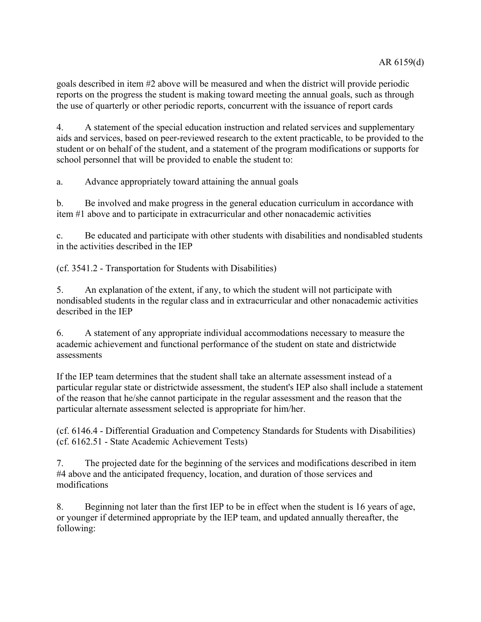goals described in item #2 above will be measured and when the district will provide periodic reports on the progress the student is making toward meeting the annual goals, such as through the use of quarterly or other periodic reports, concurrent with the issuance of report cards

4. A statement of the special education instruction and related services and supplementary aids and services, based on peer-reviewed research to the extent practicable, to be provided to the student or on behalf of the student, and a statement of the program modifications or supports for school personnel that will be provided to enable the student to:

a. Advance appropriately toward attaining the annual goals

b. Be involved and make progress in the general education curriculum in accordance with item #1 above and to participate in extracurricular and other nonacademic activities

c. Be educated and participate with other students with disabilities and nondisabled students in the activities described in the IEP

(cf. 3541.2 - Transportation for Students with Disabilities)

5. An explanation of the extent, if any, to which the student will not participate with nondisabled students in the regular class and in extracurricular and other nonacademic activities described in the IEP

6. A statement of any appropriate individual accommodations necessary to measure the academic achievement and functional performance of the student on state and districtwide assessments

If the IEP team determines that the student shall take an alternate assessment instead of a particular regular state or districtwide assessment, the student's IEP also shall include a statement of the reason that he/she cannot participate in the regular assessment and the reason that the particular alternate assessment selected is appropriate for him/her.

(cf. 6146.4 - Differential Graduation and Competency Standards for Students with Disabilities) (cf. 6162.51 - State Academic Achievement Tests)

7. The projected date for the beginning of the services and modifications described in item #4 above and the anticipated frequency, location, and duration of those services and modifications

8. Beginning not later than the first IEP to be in effect when the student is 16 years of age, or younger if determined appropriate by the IEP team, and updated annually thereafter, the following: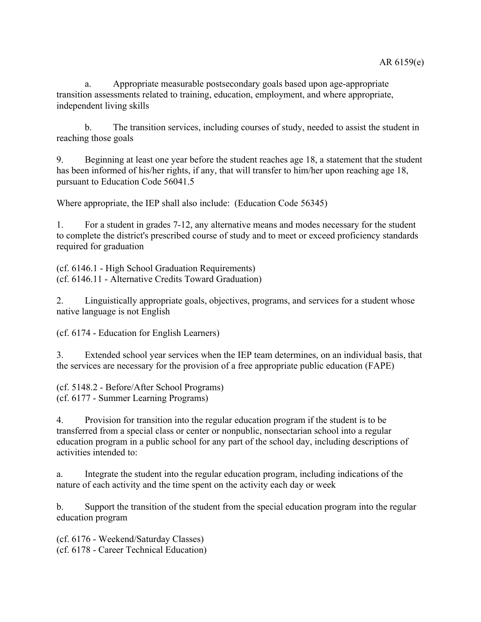a. Appropriate measurable postsecondary goals based upon age-appropriate transition assessments related to training, education, employment, and where appropriate, independent living skills

b. The transition services, including courses of study, needed to assist the student in reaching those goals

9. Beginning at least one year before the student reaches age 18, a statement that the student has been informed of his/her rights, if any, that will transfer to him/her upon reaching age 18, pursuant to Education Code 56041.5

Where appropriate, the IEP shall also include: (Education Code 56345)

1. For a student in grades 7-12, any alternative means and modes necessary for the student to complete the district's prescribed course of study and to meet or exceed proficiency standards required for graduation

(cf. 6146.1 - High School Graduation Requirements) (cf. 6146.11 - Alternative Credits Toward Graduation)

2. Linguistically appropriate goals, objectives, programs, and services for a student whose native language is not English

(cf. 6174 - Education for English Learners)

3. Extended school year services when the IEP team determines, on an individual basis, that the services are necessary for the provision of a free appropriate public education (FAPE)

(cf. 5148.2 - Before/After School Programs) (cf. 6177 - Summer Learning Programs)

4. Provision for transition into the regular education program if the student is to be transferred from a special class or center or nonpublic, nonsectarian school into a regular education program in a public school for any part of the school day, including descriptions of activities intended to:

a. Integrate the student into the regular education program, including indications of the nature of each activity and the time spent on the activity each day or week

b. Support the transition of the student from the special education program into the regular education program

(cf. 6176 - Weekend/Saturday Classes) (cf. 6178 - Career Technical Education)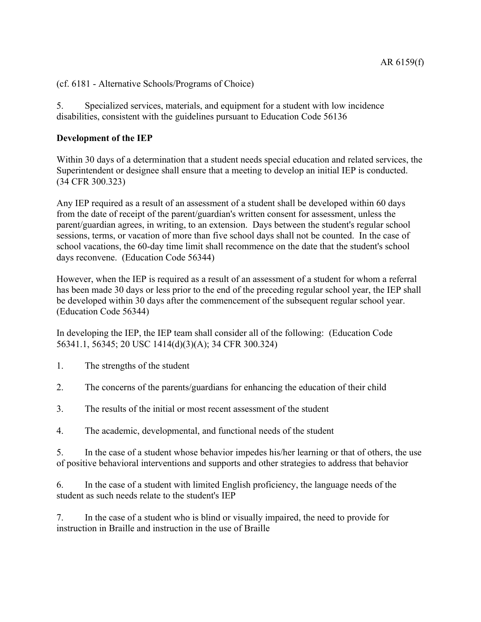(cf. 6181 - Alternative Schools/Programs of Choice)

5. Specialized services, materials, and equipment for a student with low incidence disabilities, consistent with the guidelines pursuant to Education Code 56136

#### **Development of the IEP**

Within 30 days of a determination that a student needs special education and related services, the Superintendent or designee shall ensure that a meeting to develop an initial IEP is conducted. (34 CFR 300.323)

Any IEP required as a result of an assessment of a student shall be developed within 60 days from the date of receipt of the parent/guardian's written consent for assessment, unless the parent/guardian agrees, in writing, to an extension. Days between the student's regular school sessions, terms, or vacation of more than five school days shall not be counted. In the case of school vacations, the 60-day time limit shall recommence on the date that the student's school days reconvene. (Education Code 56344)

However, when the IEP is required as a result of an assessment of a student for whom a referral has been made 30 days or less prior to the end of the preceding regular school year, the IEP shall be developed within 30 days after the commencement of the subsequent regular school year. (Education Code 56344)

In developing the IEP, the IEP team shall consider all of the following: (Education Code 56341.1, 56345; 20 USC 1414(d)(3)(A); 34 CFR 300.324)

- 1. The strengths of the student
- 2. The concerns of the parents/guardians for enhancing the education of their child
- 3. The results of the initial or most recent assessment of the student
- 4. The academic, developmental, and functional needs of the student

5. In the case of a student whose behavior impedes his/her learning or that of others, the use of positive behavioral interventions and supports and other strategies to address that behavior

6. In the case of a student with limited English proficiency, the language needs of the student as such needs relate to the student's IEP

7. In the case of a student who is blind or visually impaired, the need to provide for instruction in Braille and instruction in the use of Braille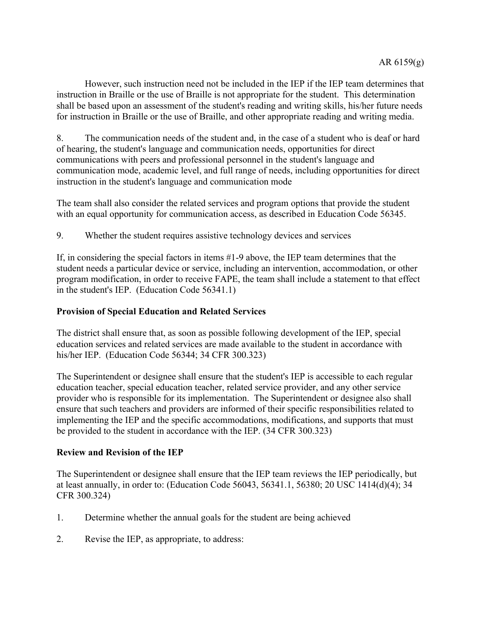However, such instruction need not be included in the IEP if the IEP team determines that instruction in Braille or the use of Braille is not appropriate for the student. This determination shall be based upon an assessment of the student's reading and writing skills, his/her future needs for instruction in Braille or the use of Braille, and other appropriate reading and writing media.

8. The communication needs of the student and, in the case of a student who is deaf or hard of hearing, the student's language and communication needs, opportunities for direct communications with peers and professional personnel in the student's language and communication mode, academic level, and full range of needs, including opportunities for direct instruction in the student's language and communication mode

The team shall also consider the related services and program options that provide the student with an equal opportunity for communication access, as described in Education Code 56345.

9. Whether the student requires assistive technology devices and services

If, in considering the special factors in items #1-9 above, the IEP team determines that the student needs a particular device or service, including an intervention, accommodation, or other program modification, in order to receive FAPE, the team shall include a statement to that effect in the student's IEP. (Education Code 56341.1)

## **Provision of Special Education and Related Services**

The district shall ensure that, as soon as possible following development of the IEP, special education services and related services are made available to the student in accordance with his/her IEP. (Education Code 56344; 34 CFR 300.323)

The Superintendent or designee shall ensure that the student's IEP is accessible to each regular education teacher, special education teacher, related service provider, and any other service provider who is responsible for its implementation. The Superintendent or designee also shall ensure that such teachers and providers are informed of their specific responsibilities related to implementing the IEP and the specific accommodations, modifications, and supports that must be provided to the student in accordance with the IEP. (34 CFR 300.323)

#### **Review and Revision of the IEP**

The Superintendent or designee shall ensure that the IEP team reviews the IEP periodically, but at least annually, in order to: (Education Code 56043, 56341.1, 56380; 20 USC 1414(d)(4); 34 CFR 300.324)

- 1. Determine whether the annual goals for the student are being achieved
- 2. Revise the IEP, as appropriate, to address: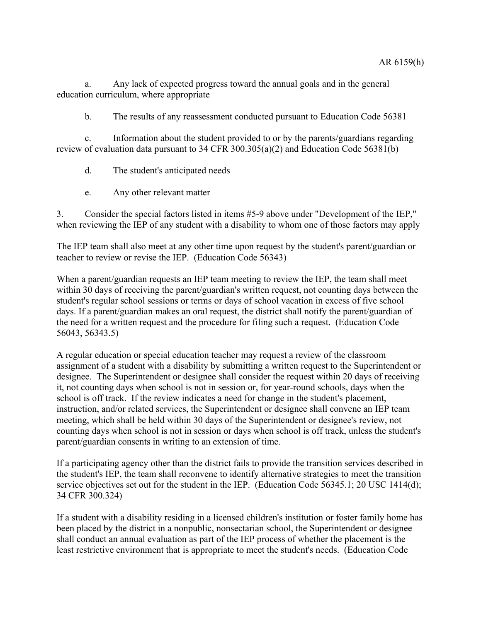a. Any lack of expected progress toward the annual goals and in the general education curriculum, where appropriate

b. The results of any reassessment conducted pursuant to Education Code 56381

c. Information about the student provided to or by the parents/guardians regarding review of evaluation data pursuant to 34 CFR 300.305(a)(2) and Education Code 56381(b)

- d. The student's anticipated needs
- e. Any other relevant matter

3. Consider the special factors listed in items #5-9 above under "Development of the IEP," when reviewing the IEP of any student with a disability to whom one of those factors may apply

The IEP team shall also meet at any other time upon request by the student's parent/guardian or teacher to review or revise the IEP. (Education Code 56343)

When a parent/guardian requests an IEP team meeting to review the IEP, the team shall meet within 30 days of receiving the parent/guardian's written request, not counting days between the student's regular school sessions or terms or days of school vacation in excess of five school days. If a parent/guardian makes an oral request, the district shall notify the parent/guardian of the need for a written request and the procedure for filing such a request. (Education Code 56043, 56343.5)

A regular education or special education teacher may request a review of the classroom assignment of a student with a disability by submitting a written request to the Superintendent or designee. The Superintendent or designee shall consider the request within 20 days of receiving it, not counting days when school is not in session or, for year-round schools, days when the school is off track. If the review indicates a need for change in the student's placement, instruction, and/or related services, the Superintendent or designee shall convene an IEP team meeting, which shall be held within 30 days of the Superintendent or designee's review, not counting days when school is not in session or days when school is off track, unless the student's parent/guardian consents in writing to an extension of time.

If a participating agency other than the district fails to provide the transition services described in the student's IEP, the team shall reconvene to identify alternative strategies to meet the transition service objectives set out for the student in the IEP. (Education Code 56345.1; 20 USC 1414(d); 34 CFR 300.324)

If a student with a disability residing in a licensed children's institution or foster family home has been placed by the district in a nonpublic, nonsectarian school, the Superintendent or designee shall conduct an annual evaluation as part of the IEP process of whether the placement is the least restrictive environment that is appropriate to meet the student's needs. (Education Code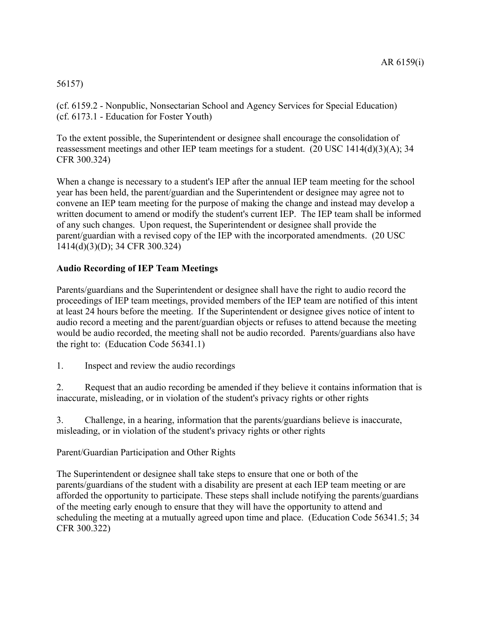# 56157)

(cf. 6159.2 - Nonpublic, Nonsectarian School and Agency Services for Special Education) (cf. 6173.1 - Education for Foster Youth)

To the extent possible, the Superintendent or designee shall encourage the consolidation of reassessment meetings and other IEP team meetings for a student. (20 USC 1414(d)(3)(A); 34 CFR 300.324)

When a change is necessary to a student's IEP after the annual IEP team meeting for the school year has been held, the parent/guardian and the Superintendent or designee may agree not to convene an IEP team meeting for the purpose of making the change and instead may develop a written document to amend or modify the student's current IEP. The IEP team shall be informed of any such changes. Upon request, the Superintendent or designee shall provide the parent/guardian with a revised copy of the IEP with the incorporated amendments. (20 USC 1414(d)(3)(D); 34 CFR 300.324)

# **Audio Recording of IEP Team Meetings**

Parents/guardians and the Superintendent or designee shall have the right to audio record the proceedings of IEP team meetings, provided members of the IEP team are notified of this intent at least 24 hours before the meeting. If the Superintendent or designee gives notice of intent to audio record a meeting and the parent/guardian objects or refuses to attend because the meeting would be audio recorded, the meeting shall not be audio recorded. Parents/guardians also have the right to: (Education Code 56341.1)

1. Inspect and review the audio recordings

2. Request that an audio recording be amended if they believe it contains information that is inaccurate, misleading, or in violation of the student's privacy rights or other rights

3. Challenge, in a hearing, information that the parents/guardians believe is inaccurate, misleading, or in violation of the student's privacy rights or other rights

Parent/Guardian Participation and Other Rights

The Superintendent or designee shall take steps to ensure that one or both of the parents/guardians of the student with a disability are present at each IEP team meeting or are afforded the opportunity to participate. These steps shall include notifying the parents/guardians of the meeting early enough to ensure that they will have the opportunity to attend and scheduling the meeting at a mutually agreed upon time and place. (Education Code 56341.5; 34 CFR 300.322)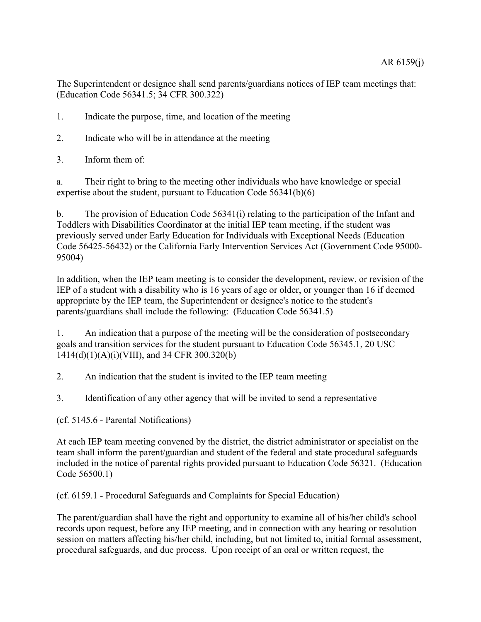The Superintendent or designee shall send parents/guardians notices of IEP team meetings that: (Education Code 56341.5; 34 CFR 300.322)

- 1. Indicate the purpose, time, and location of the meeting
- 2. Indicate who will be in attendance at the meeting
- 3. Inform them of:

a. Their right to bring to the meeting other individuals who have knowledge or special expertise about the student, pursuant to Education Code 56341(b)(6)

b. The provision of Education Code 56341(i) relating to the participation of the Infant and Toddlers with Disabilities Coordinator at the initial IEP team meeting, if the student was previously served under Early Education for Individuals with Exceptional Needs (Education Code 56425-56432) or the California Early Intervention Services Act (Government Code 95000- 95004)

In addition, when the IEP team meeting is to consider the development, review, or revision of the IEP of a student with a disability who is 16 years of age or older, or younger than 16 if deemed appropriate by the IEP team, the Superintendent or designee's notice to the student's parents/guardians shall include the following: (Education Code 56341.5)

1. An indication that a purpose of the meeting will be the consideration of postsecondary goals and transition services for the student pursuant to Education Code 56345.1, 20 USC 1414(d)(1)(A)(i)(VIII), and 34 CFR 300.320(b)

2. An indication that the student is invited to the IEP team meeting

3. Identification of any other agency that will be invited to send a representative

(cf. 5145.6 - Parental Notifications)

At each IEP team meeting convened by the district, the district administrator or specialist on the team shall inform the parent/guardian and student of the federal and state procedural safeguards included in the notice of parental rights provided pursuant to Education Code 56321. (Education Code 56500.1)

(cf. 6159.1 - Procedural Safeguards and Complaints for Special Education)

The parent/guardian shall have the right and opportunity to examine all of his/her child's school records upon request, before any IEP meeting, and in connection with any hearing or resolution session on matters affecting his/her child, including, but not limited to, initial formal assessment, procedural safeguards, and due process. Upon receipt of an oral or written request, the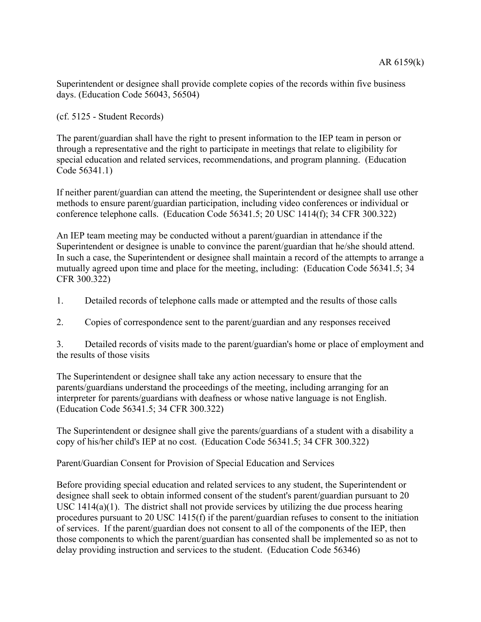Superintendent or designee shall provide complete copies of the records within five business days. (Education Code 56043, 56504)

(cf. 5125 - Student Records)

The parent/guardian shall have the right to present information to the IEP team in person or through a representative and the right to participate in meetings that relate to eligibility for special education and related services, recommendations, and program planning. (Education Code 56341.1)

If neither parent/guardian can attend the meeting, the Superintendent or designee shall use other methods to ensure parent/guardian participation, including video conferences or individual or conference telephone calls. (Education Code 56341.5; 20 USC 1414(f); 34 CFR 300.322)

An IEP team meeting may be conducted without a parent/guardian in attendance if the Superintendent or designee is unable to convince the parent/guardian that he/she should attend. In such a case, the Superintendent or designee shall maintain a record of the attempts to arrange a mutually agreed upon time and place for the meeting, including: (Education Code 56341.5; 34 CFR 300.322)

- 1. Detailed records of telephone calls made or attempted and the results of those calls
- 2. Copies of correspondence sent to the parent/guardian and any responses received

3. Detailed records of visits made to the parent/guardian's home or place of employment and the results of those visits

The Superintendent or designee shall take any action necessary to ensure that the parents/guardians understand the proceedings of the meeting, including arranging for an interpreter for parents/guardians with deafness or whose native language is not English. (Education Code 56341.5; 34 CFR 300.322)

The Superintendent or designee shall give the parents/guardians of a student with a disability a copy of his/her child's IEP at no cost. (Education Code 56341.5; 34 CFR 300.322)

Parent/Guardian Consent for Provision of Special Education and Services

Before providing special education and related services to any student, the Superintendent or designee shall seek to obtain informed consent of the student's parent/guardian pursuant to 20 USC 1414(a)(1). The district shall not provide services by utilizing the due process hearing procedures pursuant to 20 USC 1415(f) if the parent/guardian refuses to consent to the initiation of services. If the parent/guardian does not consent to all of the components of the IEP, then those components to which the parent/guardian has consented shall be implemented so as not to delay providing instruction and services to the student. (Education Code 56346)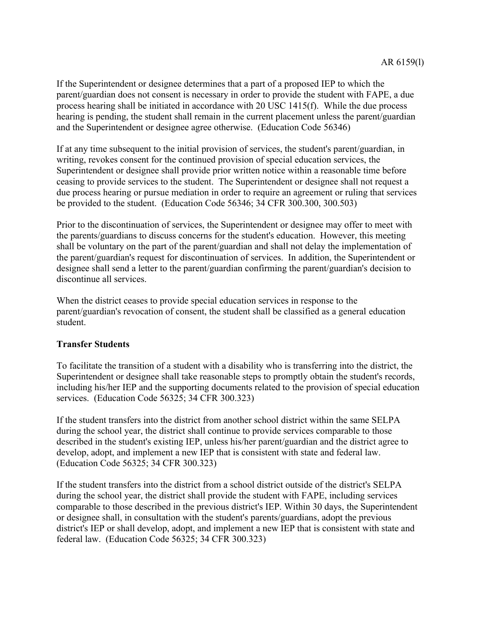If the Superintendent or designee determines that a part of a proposed IEP to which the parent/guardian does not consent is necessary in order to provide the student with FAPE, a due process hearing shall be initiated in accordance with 20 USC 1415(f). While the due process hearing is pending, the student shall remain in the current placement unless the parent/guardian and the Superintendent or designee agree otherwise. (Education Code 56346)

If at any time subsequent to the initial provision of services, the student's parent/guardian, in writing, revokes consent for the continued provision of special education services, the Superintendent or designee shall provide prior written notice within a reasonable time before ceasing to provide services to the student. The Superintendent or designee shall not request a due process hearing or pursue mediation in order to require an agreement or ruling that services be provided to the student. (Education Code 56346; 34 CFR 300.300, 300.503)

Prior to the discontinuation of services, the Superintendent or designee may offer to meet with the parents/guardians to discuss concerns for the student's education. However, this meeting shall be voluntary on the part of the parent/guardian and shall not delay the implementation of the parent/guardian's request for discontinuation of services. In addition, the Superintendent or designee shall send a letter to the parent/guardian confirming the parent/guardian's decision to discontinue all services.

When the district ceases to provide special education services in response to the parent/guardian's revocation of consent, the student shall be classified as a general education student.

# **Transfer Students**

To facilitate the transition of a student with a disability who is transferring into the district, the Superintendent or designee shall take reasonable steps to promptly obtain the student's records, including his/her IEP and the supporting documents related to the provision of special education services. (Education Code 56325; 34 CFR 300.323)

If the student transfers into the district from another school district within the same SELPA during the school year, the district shall continue to provide services comparable to those described in the student's existing IEP, unless his/her parent/guardian and the district agree to develop, adopt, and implement a new IEP that is consistent with state and federal law. (Education Code 56325; 34 CFR 300.323)

If the student transfers into the district from a school district outside of the district's SELPA during the school year, the district shall provide the student with FAPE, including services comparable to those described in the previous district's IEP. Within 30 days, the Superintendent or designee shall, in consultation with the student's parents/guardians, adopt the previous district's IEP or shall develop, adopt, and implement a new IEP that is consistent with state and federal law. (Education Code 56325; 34 CFR 300.323)